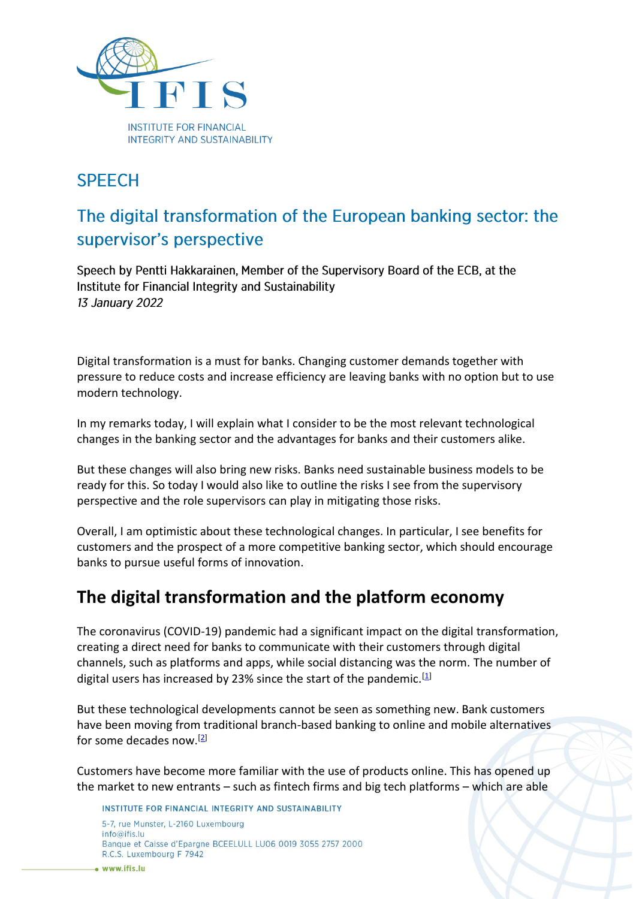

### **SPFFCH**

# The digital transformation of the European banking sector: the supervisor's perspective

Speech by Pentti Hakkarainen, Member of the Supervisory Board of the ECB, at the Institute for Financial Integrity and Sustainability 13 January 2022

Digital transformation is a must for banks. Changing customer demands together with pressure to reduce costs and increase efficiency are leaving banks with no option but to use modern technology.

In my remarks today, I will explain what I consider to be the most relevant technological changes in the banking sector and the advantages for banks and their customers alike.

But these changes will also bring new risks. Banks need sustainable business models to be ready for this. So today I would also like to outline the risks I see from the supervisory perspective and the role supervisors can play in mitigating those risks.

Overall, I am optimistic about these technological changes. In particular, I see benefits for customers and the prospect of a more competitive banking sector, which should encourage banks to pursue useful forms of innovation.

#### **The digital transformation and the platform economy**

The coronavirus (COVID-19) pandemic had a significant impact on the digital transformation, creating a direct need for banks to communicate with their customers through digital channels, such as platforms and apps, while social distancing was the norm. The number of digital users has increased by 23% since the start of the pandemic.<sup>[\[1\]](https://www.bankingsupervision.europa.eu/press/speeches/date/2022/html/ssm.sp220113~8101be7500.en.html#footnote.1)</sup>

But these technological developments cannot be seen as something new. Bank customers have been moving from traditional branch-based banking to online and mobile alternatives for some decades now.[\[2\]](https://www.bankingsupervision.europa.eu/press/speeches/date/2022/html/ssm.sp220113~8101be7500.en.html#footnote.2)

Customers have become more familiar with the use of products online. This has opened up the market to new entrants – such as fintech firms and big tech platforms – which are able

INSTITUTE FOR FINANCIAL INTEGRITY AND SUSTAINABILITY 5-7, rue Munster, L-2160 Luxembourg  $info@ifis.lu$ Banque et Caisse d'Epargne BCEELULL LU06 0019 3055 2757 2000 R.C.S. Luxembourg F 7942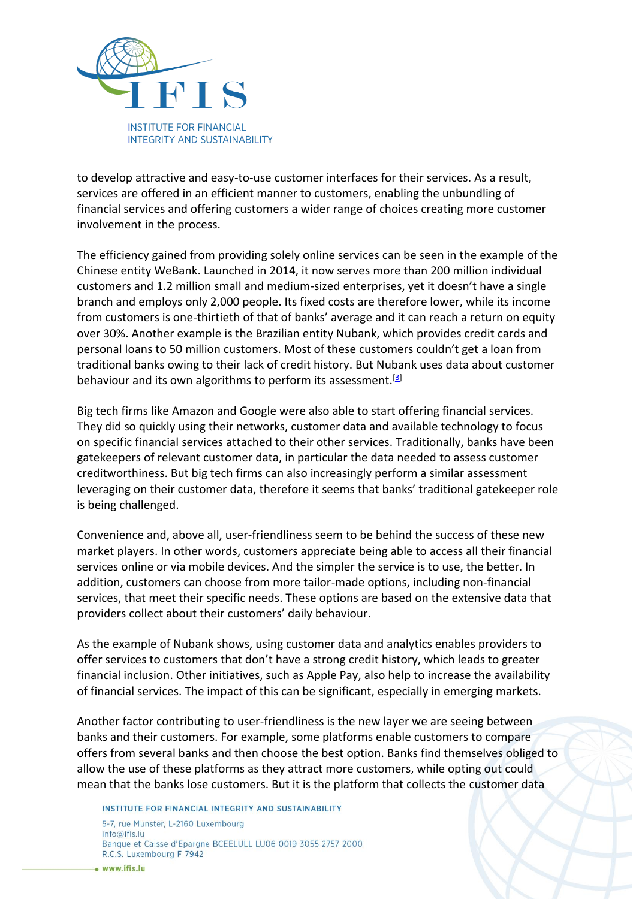

to develop attractive and easy-to-use customer interfaces for their services. As a result, services are offered in an efficient manner to customers, enabling the unbundling of financial services and offering customers a wider range of choices creating more customer involvement in the process.

The efficiency gained from providing solely online services can be seen in the example of the Chinese entity WeBank. Launched in 2014, it now serves more than 200 million individual customers and 1.2 million small and medium-sized enterprises, yet it doesn't have a single branch and employs only 2,000 people. Its fixed costs are therefore lower, while its income from customers is one-thirtieth of that of banks' average and it can reach a return on equity over 30%. Another example is the Brazilian entity Nubank, which provides credit cards and personal loans to 50 million customers. Most of these customers couldn't get a loan from traditional banks owing to their lack of credit history. But Nubank uses data about customer behaviour and its own algorithms to perform its assessment.<sup>[\[3\]](https://www.bankingsupervision.europa.eu/press/speeches/date/2022/html/ssm.sp220113~8101be7500.en.html#footnote.3)</sup>

Big tech firms like Amazon and Google were also able to start offering financial services. They did so quickly using their networks, customer data and available technology to focus on specific financial services attached to their other services. Traditionally, banks have been gatekeepers of relevant customer data, in particular the data needed to assess customer creditworthiness. But big tech firms can also increasingly perform a similar assessment leveraging on their customer data, therefore it seems that banks' traditional gatekeeper role is being challenged.

Convenience and, above all, user-friendliness seem to be behind the success of these new market players. In other words, customers appreciate being able to access all their financial services online or via mobile devices. And the simpler the service is to use, the better. In addition, customers can choose from more tailor-made options, including non-financial services, that meet their specific needs. These options are based on the extensive data that providers collect about their customers' daily behaviour.

As the example of Nubank shows, using customer data and analytics enables providers to offer services to customers that don't have a strong credit history, which leads to greater financial inclusion. Other initiatives, such as Apple Pay, also help to increase the availability of financial services. The impact of this can be significant, especially in emerging markets.

Another factor contributing to user-friendliness is the new layer we are seeing between banks and their customers. For example, some platforms enable customers to compare offers from several banks and then choose the best option. Banks find themselves obliged to allow the use of these platforms as they attract more customers, while opting out could mean that the banks lose customers. But it is the platform that collects the customer data

INSTITUTE FOR FINANCIAL INTEGRITY AND SUSTAINABILITY 5-7, rue Munster, L-2160 Luxembourg  $info@ifis.lu$ Banque et Caisse d'Epargne BCEELULL LU06 0019 3055 2757 2000 R.C.S. Luxembourg F 7942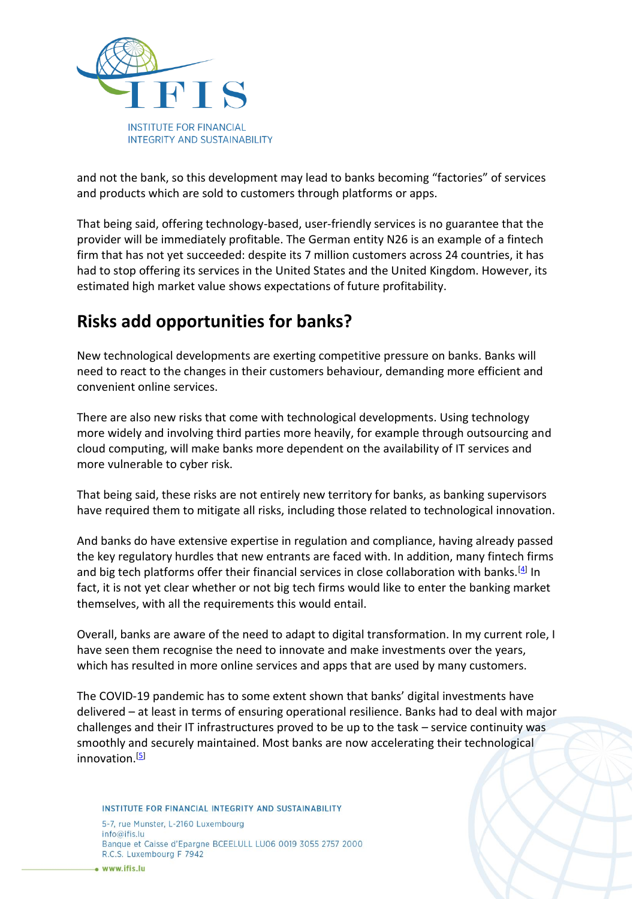

and not the bank, so this development may lead to banks becoming "factories" of services and products which are sold to customers through platforms or apps.

That being said, offering technology-based, user-friendly services is no guarantee that the provider will be immediately profitable. The German entity N26 is an example of a fintech firm that has not yet succeeded: despite its 7 million customers across 24 countries, it has had to stop offering its services in the United States and the United Kingdom. However, its estimated high market value shows expectations of future profitability.

## **Risks add opportunities for banks?**

New technological developments are exerting competitive pressure on banks. Banks will need to react to the changes in their customers behaviour, demanding more efficient and convenient online services.

There are also new risks that come with technological developments. Using technology more widely and involving third parties more heavily, for example through outsourcing and cloud computing, will make banks more dependent on the availability of IT services and more vulnerable to cyber risk.

That being said, these risks are not entirely new territory for banks, as banking supervisors have required them to mitigate all risks, including those related to technological innovation.

And banks do have extensive expertise in regulation and compliance, having already passed the key regulatory hurdles that new entrants are faced with. In addition, many fintech firms and big tech platforms offer their financial services in close collaboration with banks.<sup>[\[4\]](https://www.bankingsupervision.europa.eu/press/speeches/date/2022/html/ssm.sp220113~8101be7500.en.html#footnote.4)</sup> In fact, it is not yet clear whether or not big tech firms would like to enter the banking market themselves, with all the requirements this would entail.

Overall, banks are aware of the need to adapt to digital transformation. In my current role, I have seen them recognise the need to innovate and make investments over the years, which has resulted in more online services and apps that are used by many customers.

The COVID-19 pandemic has to some extent shown that banks' digital investments have delivered – at least in terms of ensuring operational resilience. Banks had to deal with major challenges and their IT infrastructures proved to be up to the task – service continuity was smoothly and securely maintained. Most banks are now accelerating their technological innovation.<sup>[\[5\]](https://www.bankingsupervision.europa.eu/press/speeches/date/2022/html/ssm.sp220113~8101be7500.en.html#footnote.5)</sup>

INSTITUTE FOR FINANCIAL INTEGRITY AND SUSTAINABILITY

5-7, rue Munster, L-2160 Luxembourg  $info@ifis.lu$ Banque et Caisse d'Epargne BCEELULL LU06 0019 3055 2757 2000 R.C.S. Luxembourg F 7942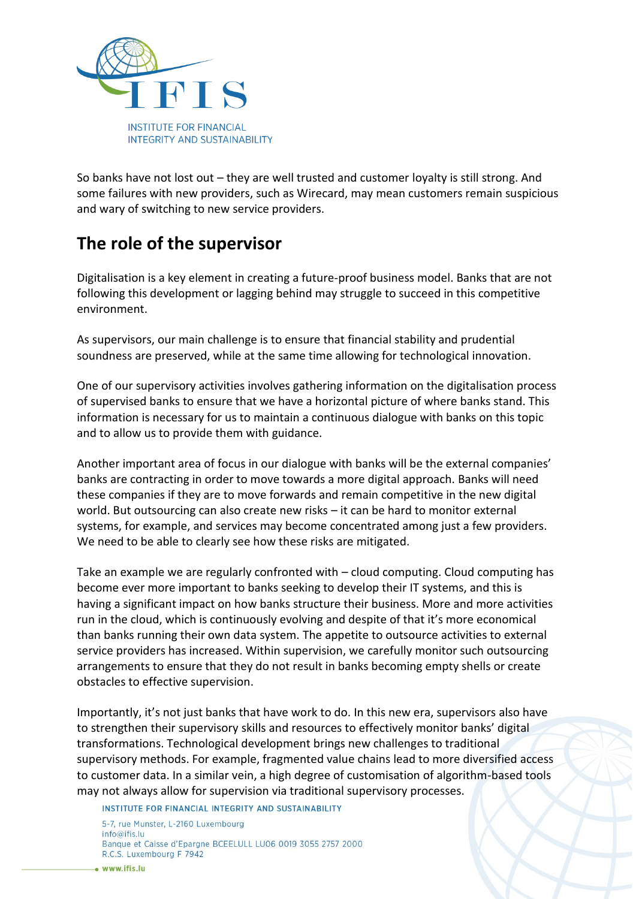

So banks have not lost out – they are well trusted and customer loyalty is still strong. And some failures with new providers, such as Wirecard, may mean customers remain suspicious and wary of switching to new service providers.

## **The role of the supervisor**

Digitalisation is a key element in creating a future-proof business model. Banks that are not following this development or lagging behind may struggle to succeed in this competitive environment.

As supervisors, our main challenge is to ensure that financial stability and prudential soundness are preserved, while at the same time allowing for technological innovation.

One of our supervisory activities involves gathering information on the digitalisation process of supervised banks to ensure that we have a horizontal picture of where banks stand. This information is necessary for us to maintain a continuous dialogue with banks on this topic and to allow us to provide them with guidance.

Another important area of focus in our dialogue with banks will be the external companies' banks are contracting in order to move towards a more digital approach. Banks will need these companies if they are to move forwards and remain competitive in the new digital world. But outsourcing can also create new risks – it can be hard to monitor external systems, for example, and services may become concentrated among just a few providers. We need to be able to clearly see how these risks are mitigated.

Take an example we are regularly confronted with – cloud computing. Cloud computing has become ever more important to banks seeking to develop their IT systems, and this is having a significant impact on how banks structure their business. More and more activities run in the cloud, which is continuously evolving and despite of that it's more economical than banks running their own data system. The appetite to outsource activities to external service providers has increased. Within supervision, we carefully monitor such outsourcing arrangements to ensure that they do not result in banks becoming empty shells or create obstacles to effective supervision.

Importantly, it's not just banks that have work to do. In this new era, supervisors also have to strengthen their supervisory skills and resources to effectively monitor banks' digital transformations. Technological development brings new challenges to traditional supervisory methods. For example, fragmented value chains lead to more diversified access to customer data. In a similar vein, a high degree of customisation of algorithm-based tools may not always allow for supervision via traditional supervisory processes.

INSTITUTE FOR FINANCIAL INTEGRITY AND SUSTAINABILITY 5-7, rue Munster, L-2160 Luxembourg  $info@ifis.lu$ Banque et Caisse d'Epargne BCEELULL LU06 0019 3055 2757 2000

R.C.S. Luxembourg F 7942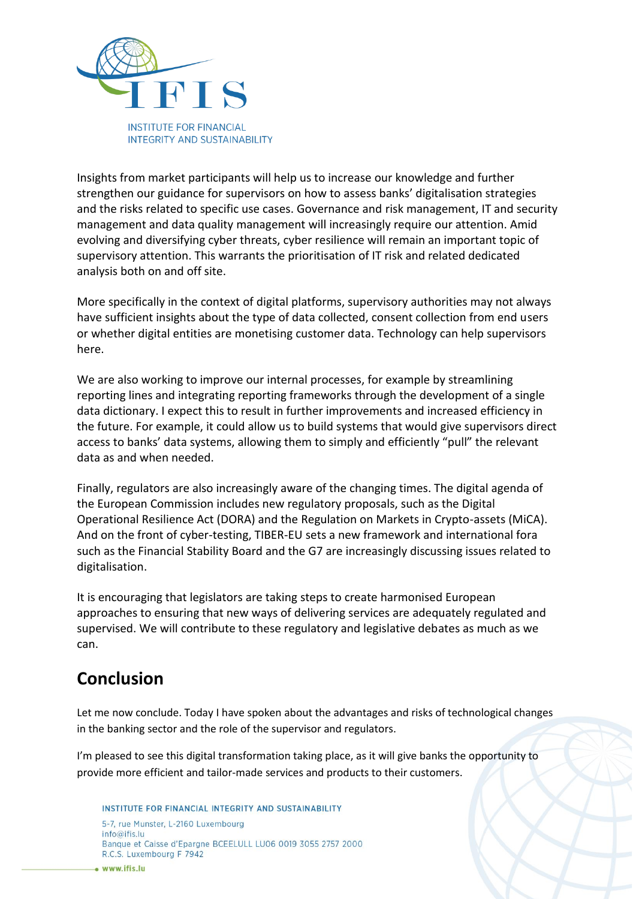

Insights from market participants will help us to increase our knowledge and further strengthen our guidance for supervisors on how to assess banks' digitalisation strategies and the risks related to specific use cases. Governance and risk management, IT and security management and data quality management will increasingly require our attention. Amid evolving and diversifying cyber threats, cyber resilience will remain an important topic of supervisory attention. This warrants the prioritisation of IT risk and related dedicated analysis both on and off site.

More specifically in the context of digital platforms, supervisory authorities may not always have sufficient insights about the type of data collected, consent collection from end users or whether digital entities are monetising customer data. Technology can help supervisors here.

We are also working to improve our internal processes, for example by streamlining reporting lines and integrating reporting frameworks through the development of a single data dictionary. I expect this to result in further improvements and increased efficiency in the future. For example, it could allow us to build systems that would give supervisors direct access to banks' data systems, allowing them to simply and efficiently "pull" the relevant data as and when needed.

Finally, regulators are also increasingly aware of the changing times. The digital agenda of the European Commission includes new regulatory proposals, such as the Digital Operational Resilience Act (DORA) and the Regulation on Markets in Crypto-assets (MiCA). And on the front of cyber-testing, TIBER-EU sets a new framework and international fora such as the Financial Stability Board and the G7 are increasingly discussing issues related to digitalisation.

It is encouraging that legislators are taking steps to create harmonised European approaches to ensuring that new ways of delivering services are adequately regulated and supervised. We will contribute to these regulatory and legislative debates as much as we can.

#### **Conclusion**

Let me now conclude. Today I have spoken about the advantages and risks of technological changes in the banking sector and the role of the supervisor and regulators.

I'm pleased to see this digital transformation taking place, as it will give banks the opportunity to provide more efficient and tailor-made services and products to their customers.

INSTITUTE FOR FINANCIAL INTEGRITY AND SUSTAINABILITY 5-7, rue Munster, L-2160 Luxembourg  $info@ifis.lu$ Banque et Caisse d'Epargne BCEELULL LU06 0019 3055 2757 2000 R.C.S. Luxembourg F 7942